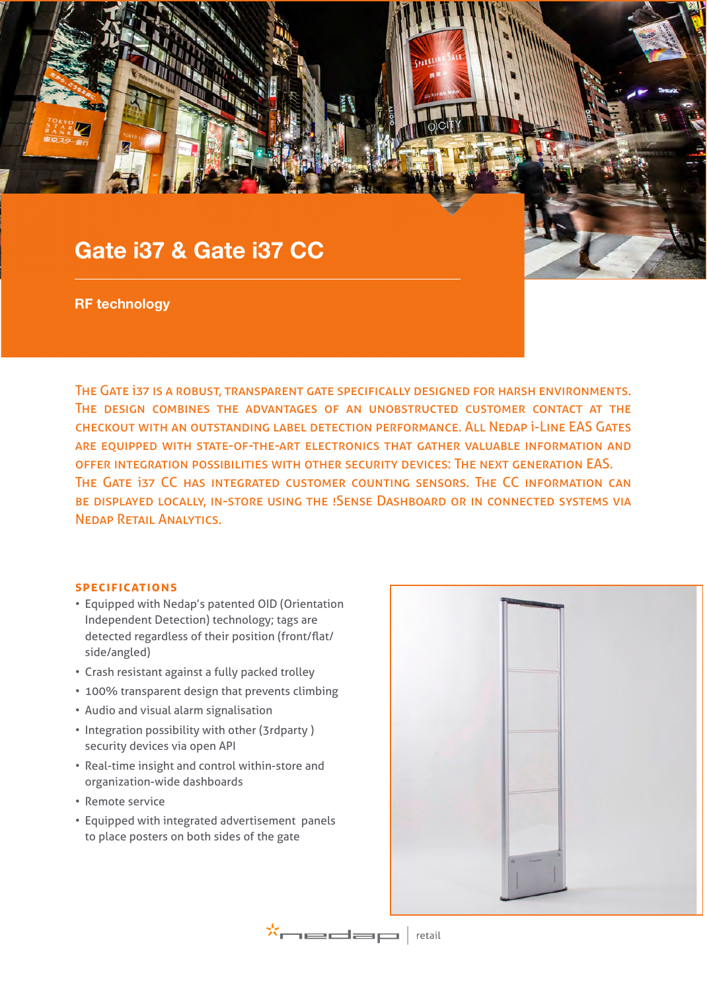# Gate i37 & Gate i37 CC

RF technology

The Gate i37 is a robust, transparent gate specifically designed for harsh environments. The design combines the advantages of an unobstructed customer contact at the checkout with an outstanding label detection performance. All Nedap i-Line EAS Gates are equipped with state-of-the-art electronics that gather valuable information and offer integration possibilities with other security devices: The next generation EAS. The Gate i37 CC has integrated customer counting sensors. The CC information can be displayed locally, in-store using the !Sense Dashboard or in connected systems via Nedap Retail Analytics.

## **specifications**

- Equipped with Nedap's patented OID (Orientation Independent Detection) technology; tags are detected regardless of their position (front/flat/ side/angled)
- Crash resistant against a fully packed trolley
- 100% transparent design that prevents climbing
- Audio and visual alarm signalisation
- Integration possibility with other (3rdparty ) security devices via open API
- Real-time insight and control within-store and organization-wide dashboards
- Remote service
- Equipped with integrated advertisement panels to place posters on both sides of the gate